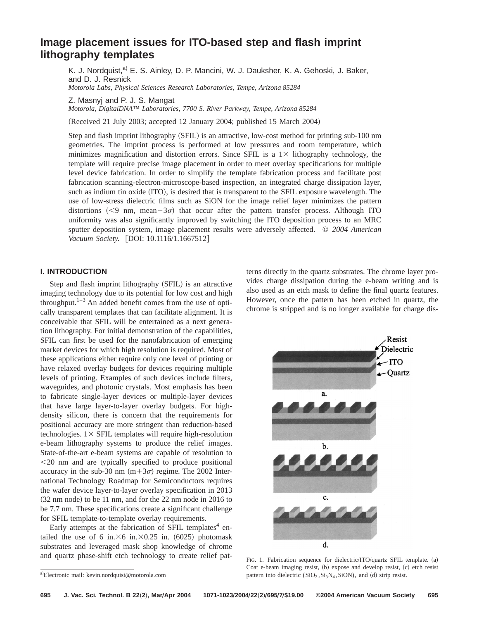# **Image placement issues for ITO-based step and flash imprint lithography templates**

K. J. Nordquist,<sup>a)</sup> E. S. Ainley, D. P. Mancini, W. J. Dauksher, K. A. Gehoski, J. Baker, and D. J. Resnick *Motorola Labs, Physical Sciences Research Laboratories, Tempe, Arizona 85284*

Z. Masnyj and P. J. S. Mangat

*Motorola, DigitalDNA™ Laboratories, 7700 S. River Parkway, Tempe, Arizona 85284*

 $(Received 21$  July 2003; accepted 12 January 2004; published 15 March 2004)

Step and flash imprint lithography (SFIL) is an attractive, low-cost method for printing sub-100 nm geometries. The imprint process is performed at low pressures and room temperature, which minimizes magnification and distortion errors. Since SFIL is a  $1\times$  lithography technology, the template will require precise image placement in order to meet overlay specifications for multiple level device fabrication. In order to simplify the template fabrication process and facilitate post fabrication scanning-electron-microscope-based inspection, an integrated charge dissipation layer, such as indium tin oxide (ITO), is desired that is transparent to the SFIL exposure wavelength. The use of low-stress dielectric films such as SiON for the image relief layer minimizes the pattern distortions  $\leq 9$  nm, mean+3 $\sigma$ ) that occur after the pattern transfer process. Although ITO uniformity was also significantly improved by switching the ITO deposition process to an MRC sputter deposition system, image placement results were adversely affected. © *2004 American Vacuum Society.* [DOI: 10.1116/1.1667512]

## **I. INTRODUCTION**

Step and flash imprint lithography (SFIL) is an attractive imaging technology due to its potential for low cost and high throughput. $1-3$  An added benefit comes from the use of optically transparent templates that can facilitate alignment. It is conceivable that SFIL will be entertained as a next generation lithography. For initial demonstration of the capabilities, SFIL can first be used for the nanofabrication of emerging market devices for which high resolution is required. Most of these applications either require only one level of printing or have relaxed overlay budgets for devices requiring multiple levels of printing. Examples of such devices include filters, waveguides, and photonic crystals. Most emphasis has been to fabricate single-layer devices or multiple-layer devices that have large layer-to-layer overlay budgets. For highdensity silicon, there is concern that the requirements for positional accuracy are more stringent than reduction-based technologies.  $1 \times$  SFIL templates will require high-resolution e-beam lithography systems to produce the relief images. State-of-the-art e-beam systems are capable of resolution to  $<$ 20 nm and are typically specified to produce positional accuracy in the sub-30 nm  $(m+3\sigma)$  regime. The 2002 International Technology Roadmap for Semiconductors requires the wafer device layer-to-layer overlay specification in 2013  $(32 \text{ nm} \text{ node})$  to be 11 nm, and for the 22 nm node in 2016 to be 7.7 nm. These specifications create a significant challenge for SFIL template-to-template overlay requirements.

Early attempts at the fabrication of SFIL templates $4$  entailed the use of 6 in. $\times$ 6 in. $\times$ 0.25 in. (6025) photomask substrates and leveraged mask shop knowledge of chrome and quartz phase-shift etch technology to create relief patterns directly in the quartz substrates. The chrome layer provides charge dissipation during the e-beam writing and is also used as an etch mask to define the final quartz features. However, once the pattern has been etched in quartz, the chrome is stripped and is no longer available for charge dis-



FIG. 1. Fabrication sequence for dielectric/ITO/quartz SFIL template. (a) Coat e-beam imaging resist, (b) expose and develop resist, (c) etch resist pattern into dielectric  $(SiO<sub>2</sub>, Si<sub>3</sub>N<sub>4</sub>, SiON)$ , and (d) strip resist.

a)Electronic mail: kevin.nordquist@motorola.com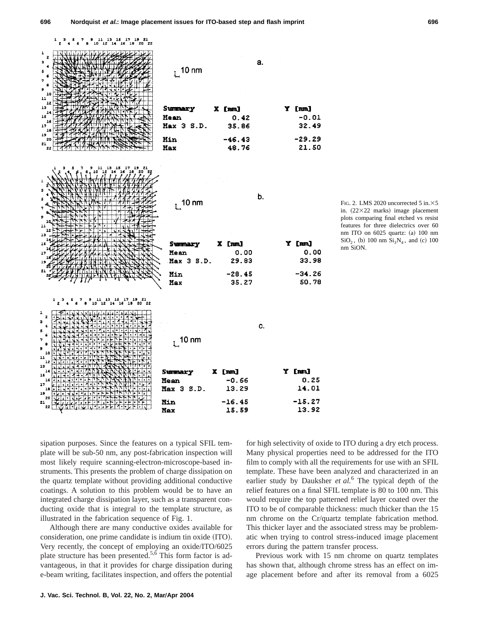| $\begin{array}{cccccccccccc}\n1 & 3 & 5 & 7 & 9 & 11 & 13 & 15 & 17 & 19 & 21 \\ 2 & 4 & 6 & 8 & 10 & 12 & 14 & 16 & 18 & 20 & 22\n\end{array}$ |                        |                |                 |
|-------------------------------------------------------------------------------------------------------------------------------------------------|------------------------|----------------|-----------------|
| ı<br>z<br>з<br>٠<br>5<br>6<br>7<br>8<br>9<br>10<br>11                                                                                           | $L$ <sup>10 nm</sup>   | а.             |                 |
| 12<br>13                                                                                                                                        |                        |                |                 |
| 14<br>15                                                                                                                                        | Summary<br><b>Hean</b> | X [nm]<br>0.42 | Y [nm]<br>-0.01 |
| 16<br>17                                                                                                                                        | Max 3 S.D.             | 35.86          | 32.49           |
| 18<br>19                                                                                                                                        |                        |                |                 |
| 20<br>21                                                                                                                                        | <b>Hin</b>             | $-46.43$       | $-29.29$        |
| 22                                                                                                                                              | <b>Hax</b>             | 48.76          | 21.50           |
|                                                                                                                                                 |                        |                |                 |
| 1<br>з<br>S                                                                                                                                     |                        | b.             |                 |
| 7                                                                                                                                               | $L^{10 \text{ nm}}$    |                |                 |
| 9                                                                                                                                               |                        |                |                 |
| 10                                                                                                                                              |                        |                |                 |
|                                                                                                                                                 |                        |                |                 |
| 11                                                                                                                                              |                        |                |                 |
| 13<br>18                                                                                                                                        |                        |                |                 |
| 17                                                                                                                                              | Summary                | X [nm]         | Y [nm]          |
| 19                                                                                                                                              | Mean<br>Max 3 S.D.     | 0.00<br>29.83  | 0.00<br>33.98   |
| 21                                                                                                                                              |                        |                |                 |
|                                                                                                                                                 | Min                    | $-28.45$       | $-34.26$        |
|                                                                                                                                                 | Max                    | 35.27          | 50.78           |
| 11 13 15 17 19 21<br>0 12 14 16 18 20 22<br>ı,<br>10                                                                                            |                        |                |                 |
| 1<br>$\mathbf{z}$                                                                                                                               |                        |                |                 |
| з<br>4                                                                                                                                          |                        | c.             |                 |
| 5<br>6                                                                                                                                          |                        |                |                 |
| 7<br>e                                                                                                                                          | $L$ <sup>10 nm</sup>   |                |                 |
| s<br>10                                                                                                                                         |                        |                |                 |
| 11<br>12                                                                                                                                        |                        |                |                 |
| 13<br>14                                                                                                                                        | Summary                | X [nm]         | Y [nm]          |
| 15<br>16                                                                                                                                        | Mean                   | $-0.66$        | 0.25            |
| 17<br>18                                                                                                                                        | <b>Max 3 S.D.</b>      | 13.29          | 14.01           |
| 19<br>20<br>21                                                                                                                                  | Min                    | $-16.45$       | $-15.27$        |

FIG. 2. LMS 2020 uncorrected 5 in. $\times$ 5 in.  $(22\times22$  marks) image placement plots comparing final etched vs resist features for three dielectrics over 60 nm ITO on 6025 quartz: (a) 100 nm  $SiO<sub>2</sub>$ , (b) 100 nm  $Si<sub>3</sub>N<sub>4</sub>$ , and (c) 100 nm SiON.

sipation purposes. Since the features on a typical SFIL template will be sub-50 nm, any post-fabrication inspection will most likely require scanning-electron-microscope-based instruments. This presents the problem of charge dissipation on the quartz template without providing additional conductive coatings. A solution to this problem would be to have an integrated charge dissipation layer, such as a transparent conducting oxide that is integral to the template structure, as illustrated in the fabrication sequence of Fig. 1.

Although there are many conductive oxides available for consideration, one prime candidate is indium tin oxide (ITO). Very recently, the concept of employing an oxide/ITO/6025 plate structure has been presented.5,6 This form factor is advantageous, in that it provides for charge dissipation during e-beam writing, facilitates inspection, and offers the potential for high selectivity of oxide to ITO during a dry etch process. Many physical properties need to be addressed for the ITO film to comply with all the requirements for use with an SFIL template. These have been analyzed and characterized in an earlier study by Dauksher *et al.*<sup>6</sup> The typical depth of the relief features on a final SFIL template is 80 to 100 nm. This would require the top patterned relief layer coated over the ITO to be of comparable thickness: much thicker than the 15 nm chrome on the Cr/quartz template fabrication method. This thicker layer and the associated stress may be problematic when trying to control stress-induced image placement errors during the pattern transfer process.

Previous work with 15 nm chrome on quartz templates has shown that, although chrome stress has an effect on image placement before and after its removal from a 6025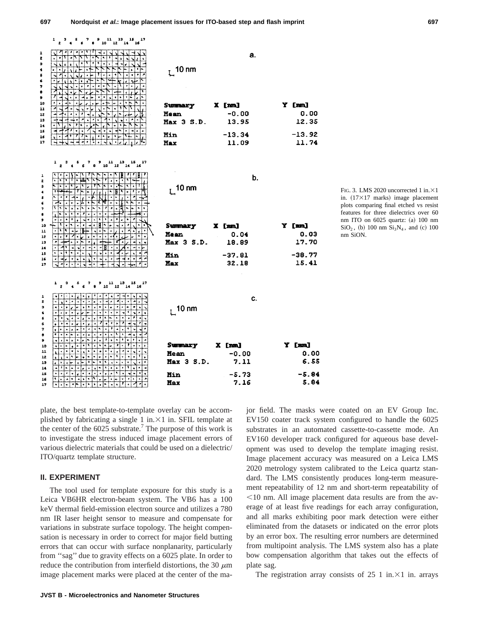$\frac{1}{2}$   $\frac{3}{2}$  $6^{7}$   $8^{11}$   $1^{13}$   $1^{15}$   $16^{17}$ a.  $_1$  10 nm X [nm] Y [mm] Summary Mean  $-0.00$  $0.00$ Max 3 S.D. 13.95 12.35 Min  $-13.34$  $-13.92$ 11.74 Max 11.09  $6^7$  8  $9 \t11 \t13 \t15 \t17$  $\,$  5 b.  $_1$  10 nm . र X Inml Y [mm] **Summary He an**  $0.04$  $0.03$ Max 3 S.D. 18.89 17.70 ना न Min  $-37.81$  $-38.77$ 32.18 15.41 Max  $\begin{smallmatrix} 9 & 11 & 13 & 15 & 17 \\ 8 & 10 & 12 & 14 & 16 \end{smallmatrix}$ C.  $L$ <sup>10 nm</sup> ماء  $\frac{1}{2}$ 卞 ान निनगर t.t.t. Y [nm] **Summary** [mm]  $\sqrt{2}$ Į۰  $\overline{\cdot}$  $0.00$ Mean -0.00 Max 3 S.D. 7.11 6.55 प्रान्तपानी नेता नेता नाम नगर

-5.73

7.16

FIG. 3. LMS 2020 uncorrected 1 in. $\times1$ in.  $(17\times17$  marks) image placement plots comparing final etched vs resist features for three dielectrics over 60 nm ITO on 6025 quartz: (a) 100 nm  $SiO<sub>2</sub>$ , (b) 100 nm  $Si<sub>3</sub>N<sub>4</sub>$ , and (c) 100 nm SiON.

plate, the best template-to-template overlay can be accomplished by fabricating a single 1 in. $\times$ 1 in. SFIL template at the center of the  $6025$  substrate.<sup>7</sup> The purpose of this work is to investigate the stress induced image placement errors of various dielectric materials that could be used on a dielectric/ ITO/quartz template structure.

Min

Max

## **II. EXPERIMENT**

ż ¢

 $\ddot{\phantom{1}}$  $\ddot{\phantom{a}}$ þ  $\bullet$  $\bullet$ į,

iı

 $12$ 13

 $\overline{14}$  $15$ 

 $\frac{1}{2}$  $\overline{17}$ 

 $\overline{2}$ 

э s 6  $\mathbf{a}$ 

9 10

 $\overline{\mathbf{11}}$ 

 $\overline{12}$ 13

14

15

16

 $17$ 

 $\mathbf{I}$ 

 $\overline{2}$ 

э

6 7

è

10

 $\frac{1}{2}$ 

12

13

 $\overline{14}$ 

15

 $16$ 

17

The tool used for template exposure for this study is a Leica VB6HR electron-beam system. The VB6 has a 100 keV thermal field-emission electron source and utilizes a 780 nm IR laser height sensor to measure and compensate for variations in substrate surface topology. The height compensation is necessary in order to correct for major field butting errors that can occur with surface nonplanarity, particularly from ''sag'' due to gravity effects on a 6025 plate. In order to reduce the contribution from interfield distortions, the 30  $\mu$ m image placement marks were placed at the center of the major field. The masks were coated on an EV Group Inc. EV150 coater track system configured to handle the 6025 substrates in an automated cassette-to-cassette mode. An EV160 developer track configured for aqueous base development was used to develop the template imaging resist. Image placement accuracy was measured on a Leica LMS 2020 metrology system calibrated to the Leica quartz standard. The LMS consistently produces long-term measurement repeatability of 12 nm and short-term repeatability of  $\leq$ 10 nm. All image placement data results are from the average of at least five readings for each array configuration, and all marks exhibiting poor mark detection were either eliminated from the datasets or indicated on the error plots by an error box. The resulting error numbers are determined from multipoint analysis. The LMS system also has a plate bow compensation algorithm that takes out the effects of plate sag.

 $-5.84$ 

5.84

The registration array consists of  $25 \text{ 1 in.} \times 1$  in. arrays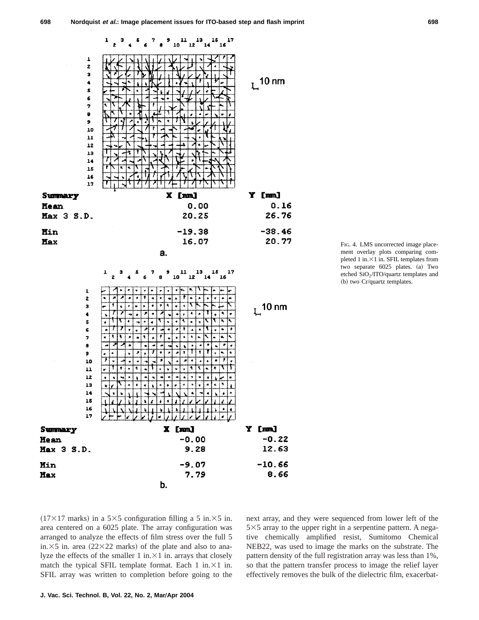



FIG. 4. LMS uncorrected image placement overlay plots comparing completed 1 in. $\times$ 1 in. SFIL templates from two separate 6025 plates. (a) Two etched SiO2/ITO/quartz templates and (b) two Cr/quartz templates.

 $(17\times17 \text{ marks})$  in a 5 $\times$ 5 configuration filling a 5 in. $\times$ 5 in. area centered on a 6025 plate. The array configuration was arranged to analyze the effects of film stress over the full 5 in. $\times$ 5 in. area (22 $\times$ 22 marks) of the plate and also to analyze the effects of the smaller 1 in. $\times$ 1 in. arrays that closely match the typical SFIL template format. Each 1 in. $\times$ 1 in. SFIL array was written to completion before going to the next array, and they were sequenced from lower left of the  $5\times5$  array to the upper right in a serpentine pattern. A negative chemically amplified resist, Sumitomo Chemical NEB22, was used to image the marks on the substrate. The pattern density of the full registration array was less than 1%, so that the pattern transfer process to image the relief layer effectively removes the bulk of the dielectric film, exacerbat-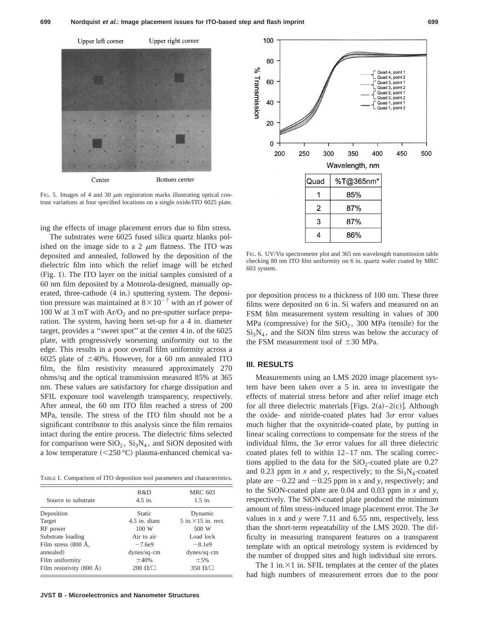

FIG. 5. Images of 4 and 30  $\mu$ m registration marks illustrating optical contrast variations at four specified locations on a single oxide/ITO 6025 plate.

ing the effects of image placement errors due to film stress.

The substrates were 6025 fused silica quartz blanks polished on the image side to a 2  $\mu$ m flatness. The ITO was deposited and annealed, followed by the deposition of the dielectric film into which the relief image will be etched  $(Fig. 1)$ . The ITO layer on the initial samples consisted of a 60 nm film deposited by a Motorola-designed, manually operated, three-cathode  $(4 \text{ in.})$  sputtering system. The deposition pressure was maintained at  $8 \times 10^{-7}$  with an rf power of 100 W at 3 mT with  $Ar/O<sub>2</sub>$  and no pre-sputter surface preparation. The system, having been set-up for a 4 in. diameter target, provides a ''sweet spot'' at the center 4 in. of the 6025 plate, with progressively worsening uniformity out to the edge. This results in a poor overall film uniformity across a 6025 plate of  $\pm 40\%$ . However, for a 60 nm annealed ITO film, the film resistivity measured approximately 270 ohms/sq and the optical transmission measured 85% at 365 nm. These values are satisfactory for charge dissipation and SFIL exposure tool wavelength transparency, respectively. After anneal, the 60 nm ITO film reached a stress of 200 MPa, tensile. The stress of the ITO film should not be a significant contributor to this analysis since the film remains intact during the entire process. The dielectric films selected for comparison were  $SiO<sub>2</sub>$ ,  $Si<sub>3</sub>N<sub>4</sub>$ , and SiON deposited with a low temperature  $(<250 °C)$  plasma-enhanced chemical va-

TABLE I. Comparison of ITO deposition tool parameters and characteristics.

| Source to substrate                | R&D<br>$4.5$ in.     | <b>MRC 603</b><br>$1.5$ in. |
|------------------------------------|----------------------|-----------------------------|
| Deposition                         | <b>Static</b>        | Dynamic                     |
| Target                             | $4.5$ in. diam       | $5$ in $\times$ 15 in rect. |
| RF power                           | 100 W                | 500 W                       |
| Substrate loading                  | Air to air           | Load lock                   |
| Film stress $(800 \text{ Å},$      | $-7.6e9$             | $-8.1e9$                    |
| annealed)                          | dynes/sqcm           | $dynes/sq \cdot cm$         |
| Film uniformity                    | $\pm 40%$            | ±5%                         |
| Film resistivity $(800 \text{ Å})$ | 200 $\Omega/\square$ | 350 $\Omega/\Box$           |



FIG. 6. UV/Vis spectrometer plot and 365 nm wavelength transmission table checking 80 nm ITO film uniformity on 6 in. quartz wafer coated by MRC 603 system.

por deposition process to a thickness of 100 nm. These three films were deposited on 6 in. Si wafers and measured on an FSM film measurement system resulting in values of 300 MPa (compressive) for the  $SiO<sub>2</sub>$ , 300 MPa (tensile) for the  $Si<sub>3</sub>N<sub>4</sub>$ , and the SiON film stress was below the accuracy of the FSM measurement tool of  $\pm 30$  MPa.

#### **III. RESULTS**

Measurements using an LMS 2020 image placement system have been taken over a 5 in. area to investigate the effects of material stress before and after relief image etch for all three dielectric materials [Figs.  $2(a)-2(c)$ ]. Although the oxide- and nitride-coated plates had  $3\sigma$  error values much higher that the oxynitride-coated plate, by putting in linear scaling corrections to compensate for the stress of the individual films, the  $3\sigma$  error values for all three dielectric coated plates fell to within 12–17 nm. The scaling corrections applied to the data for the  $SiO<sub>2</sub>$ -coated plate are 0.27 and 0.23 ppm in *x* and *y*, respectively; to the  $Si<sub>3</sub>N<sub>4</sub>$ -coated plate are  $-0.22$  and  $-0.25$  ppm in *x* and *y*, respectively; and to the SiON-coated plate are 0.04 and 0.03 ppm in *x* and *y*, respectively. The SiON-coated plate produced the minimum amount of film stress-induced image placement error. The  $3\sigma$ values in *x* and *y* were 7.11 and 6.55 nm, respectively, less than the short-term repeatability of the LMS 2020. The difficulty in measuring transparent features on a transparent template with an optical metrology system is evidenced by the number of dropped sites and high individual site errors.

The 1 in. $\times$ 1 in. SFIL templates at the center of the plates had high numbers of measurement errors due to the poor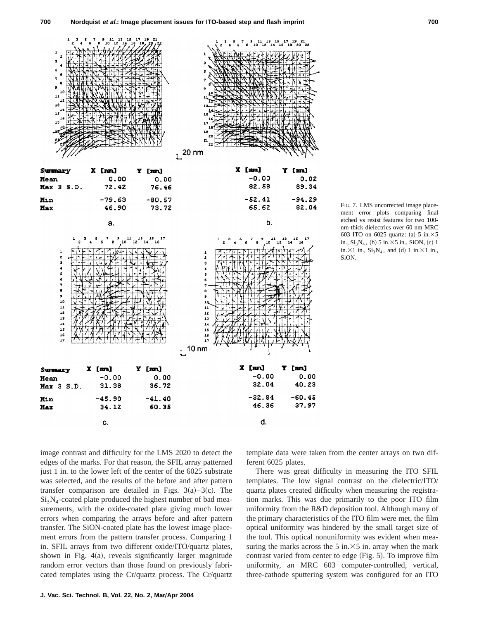

FIG. 7. LMS uncorrected image placement error plots comparing final etched vs resist features for two 100 nm-thick dielectrics over 60 nm MRC 603 ITO on 6025 quartz: (a)  $5 \text{ in.} \times 5$ in.,  $Si<sub>3</sub>N<sub>4</sub>$ , (b) 5 in. $\times$ 5 in., SiON, (c) 1 in. $\times$ 1 in., Si<sub>3</sub>N<sub>4</sub>, and (d) 1 in. $\times$ 1 in., SiON.

image contrast and difficulty for the LMS 2020 to detect the edges of the marks. For that reason, the SFIL array patterned just 1 in. to the lower left of the center of the 6025 substrate was selected, and the results of the before and after pattern transfer comparison are detailed in Figs.  $3(a)-3(c)$ . The  $Si<sub>3</sub>N<sub>4</sub>$ -coated plate produced the highest number of bad measurements, with the oxide-coated plate giving much lower errors when comparing the arrays before and after pattern transfer. The SiON-coated plate has the lowest image placement errors from the pattern transfer process. Comparing 1 in. SFIL arrays from two different oxide/ITO/quartz plates, shown in Fig.  $4(a)$ , reveals significantly larger magnitude random error vectors than those found on previously fabricated templates using the Cr/quartz process. The Cr/quartz template data were taken from the center arrays on two different 6025 plates.

There was great difficulty in measuring the ITO SFIL templates. The low signal contrast on the dielectric/ITO/ quartz plates created difficulty when measuring the registration marks. This was due primarily to the poor ITO film uniformity from the R&D deposition tool. Although many of the primary characteristics of the ITO film were met, the film optical uniformity was hindered by the small target size of the tool. This optical nonuniformity was evident when measuring the marks across the 5 in. $\times$ 5 in. array when the mark contrast varied from center to edge (Fig. 5). To improve film uniformity, an MRC 603 computer-controlled, vertical, three-cathode sputtering system was configured for an ITO